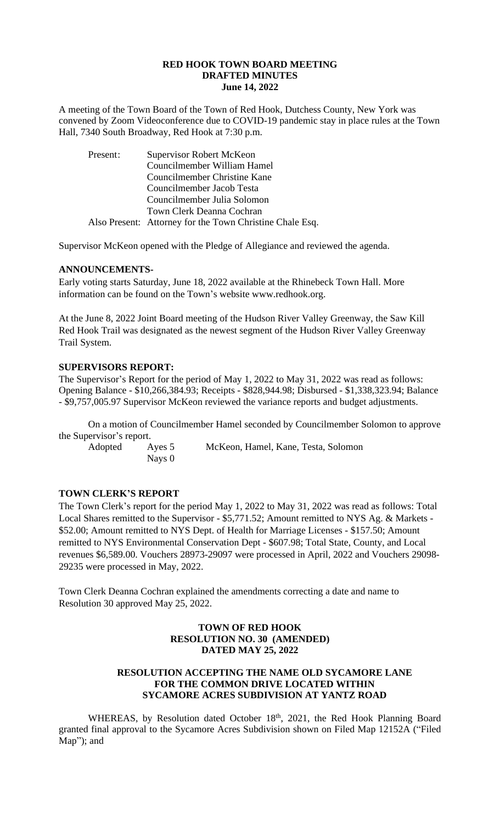#### **RED HOOK TOWN BOARD MEETING DRAFTED MINUTES June 14, 2022**

A meeting of the Town Board of the Town of Red Hook, Dutchess County, New York was convened by Zoom Videoconference due to COVID-19 pandemic stay in place rules at the Town Hall, 7340 South Broadway, Red Hook at 7:30 p.m.

| Present: | Supervisor Robert McKeon                                 |
|----------|----------------------------------------------------------|
|          | Councilmember William Hamel                              |
|          | Councilmember Christine Kane                             |
|          | Councilmember Jacob Testa                                |
|          | Councilmember Julia Solomon                              |
|          | Town Clerk Deanna Cochran                                |
|          | Also Present: Attorney for the Town Christine Chale Esq. |

Supervisor McKeon opened with the Pledge of Allegiance and reviewed the agenda.

# **ANNOUNCEMENTS-**

Early voting starts Saturday, June 18, 2022 available at the Rhinebeck Town Hall. More information can be found on the Town's website www.redhook.org.

At the June 8, 2022 Joint Board meeting of the Hudson River Valley Greenway, the Saw Kill Red Hook Trail was designated as the newest segment of the Hudson River Valley Greenway Trail System.

# **SUPERVISORS REPORT:**

The Supervisor's Report for the period of May 1, 2022 to May 31, 2022 was read as follows: Opening Balance - \$10,266,384.93; Receipts - \$828,944.98; Disbursed - \$1,338,323.94; Balance - \$9,757,005.97 Supervisor McKeon reviewed the variance reports and budget adjustments.

On a motion of Councilmember Hamel seconded by Councilmember Solomon to approve the Supervisor's report.

Nays 0

Adopted Ayes 5 McKeon, Hamel, Kane, Testa, Solomon

# **TOWN CLERK'S REPORT**

The Town Clerk's report for the period May 1, 2022 to May 31, 2022 was read as follows: Total Local Shares remitted to the Supervisor - \$5,771.52; Amount remitted to NYS Ag. & Markets - \$52.00; Amount remitted to NYS Dept. of Health for Marriage Licenses - \$157.50; Amount remitted to NYS Environmental Conservation Dept - \$607.98; Total State, County, and Local revenues \$6,589.00. Vouchers 28973-29097 were processed in April, 2022 and Vouchers 29098- 29235 were processed in May, 2022.

Town Clerk Deanna Cochran explained the amendments correcting a date and name to Resolution 30 approved May 25, 2022.

# **TOWN OF RED HOOK RESOLUTION NO. 30 (AMENDED) DATED MAY 25, 2022**

# **RESOLUTION ACCEPTING THE NAME OLD SYCAMORE LANE FOR THE COMMON DRIVE LOCATED WITHIN SYCAMORE ACRES SUBDIVISION AT YANTZ ROAD**

WHEREAS, by Resolution dated October 18th, 2021, the Red Hook Planning Board granted final approval to the Sycamore Acres Subdivision shown on Filed Map 12152A ("Filed Map"); and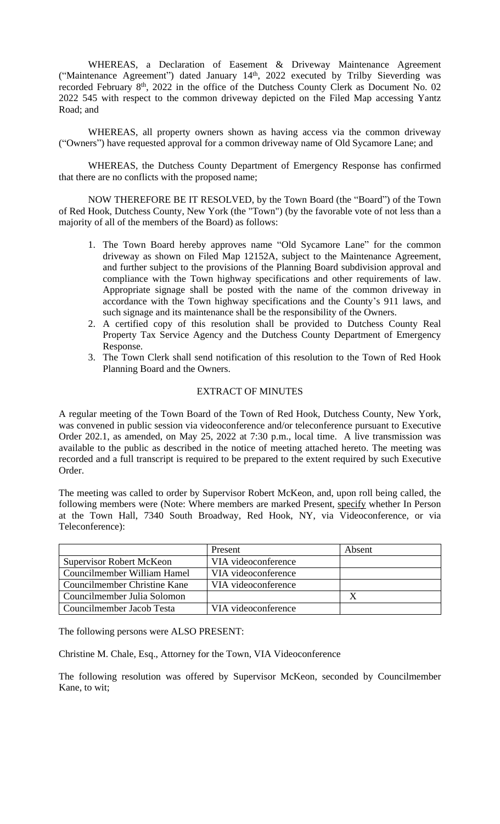WHEREAS, a Declaration of Easement & Driveway Maintenance Agreement ("Maintenance Agreement") dated January 14th, 2022 executed by Trilby Sieverding was recorded February 8<sup>th</sup>, 2022 in the office of the Dutchess County Clerk as Document No. 02 2022 545 with respect to the common driveway depicted on the Filed Map accessing Yantz Road; and

WHEREAS, all property owners shown as having access via the common driveway ("Owners") have requested approval for a common driveway name of Old Sycamore Lane; and

WHEREAS, the Dutchess County Department of Emergency Response has confirmed that there are no conflicts with the proposed name;

NOW THEREFORE BE IT RESOLVED, by the Town Board (the "Board") of the Town of Red Hook, Dutchess County, New York (the "Town") (by the favorable vote of not less than a majority of all of the members of the Board) as follows:

- 1. The Town Board hereby approves name "Old Sycamore Lane" for the common driveway as shown on Filed Map 12152A, subject to the Maintenance Agreement, and further subject to the provisions of the Planning Board subdivision approval and compliance with the Town highway specifications and other requirements of law. Appropriate signage shall be posted with the name of the common driveway in accordance with the Town highway specifications and the County's 911 laws, and such signage and its maintenance shall be the responsibility of the Owners.
- 2. A certified copy of this resolution shall be provided to Dutchess County Real Property Tax Service Agency and the Dutchess County Department of Emergency Response.
- 3. The Town Clerk shall send notification of this resolution to the Town of Red Hook Planning Board and the Owners.

### EXTRACT OF MINUTES

A regular meeting of the Town Board of the Town of Red Hook, Dutchess County, New York, was convened in public session via videoconference and/or teleconference pursuant to Executive Order 202.1, as amended, on May 25, 2022 at 7:30 p.m., local time. A live transmission was available to the public as described in the notice of meeting attached hereto. The meeting was recorded and a full transcript is required to be prepared to the extent required by such Executive Order.

The meeting was called to order by Supervisor Robert McKeon, and, upon roll being called, the following members were (Note: Where members are marked Present, specify whether In Person at the Town Hall, 7340 South Broadway, Red Hook, NY, via Videoconference, or via Teleconference):

|                                 | Present             | Absent |
|---------------------------------|---------------------|--------|
| <b>Supervisor Robert McKeon</b> | VIA videoconference |        |
| Councilmember William Hamel     | VIA videoconference |        |
| Councilmember Christine Kane    | VIA videoconference |        |
| Councilmember Julia Solomon     |                     |        |
| Councilmember Jacob Testa       | VIA videoconference |        |

The following persons were ALSO PRESENT:

Christine M. Chale, Esq., Attorney for the Town, VIA Videoconference

The following resolution was offered by Supervisor McKeon, seconded by Councilmember Kane, to wit;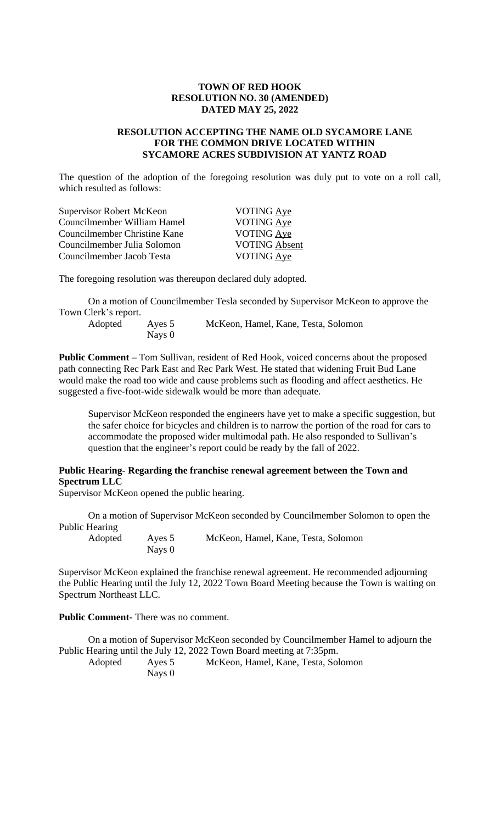### **TOWN OF RED HOOK RESOLUTION NO. 30 (AMENDED) DATED MAY 25, 2022**

### **RESOLUTION ACCEPTING THE NAME OLD SYCAMORE LANE FOR THE COMMON DRIVE LOCATED WITHIN SYCAMORE ACRES SUBDIVISION AT YANTZ ROAD**

The question of the adoption of the foregoing resolution was duly put to vote on a roll call, which resulted as follows:

| Supervisor Robert McKeon     | <b>VOTING Aye</b>    |
|------------------------------|----------------------|
| Councilmember William Hamel  | <b>VOTING Ave</b>    |
| Councilmember Christine Kane | VOTING Aye           |
| Councilmember Julia Solomon  | <b>VOTING Absent</b> |
| Councilmember Jacob Testa    | VOTING Aye           |

The foregoing resolution was thereupon declared duly adopted.

On a motion of Councilmember Tesla seconded by Supervisor McKeon to approve the Town Clerk's report.

Nays 0

Adopted Ayes 5 McKeon, Hamel, Kane, Testa, Solomon

**Public Comment –** Tom Sullivan, resident of Red Hook, voiced concerns about the proposed path connecting Rec Park East and Rec Park West. He stated that widening Fruit Bud Lane would make the road too wide and cause problems such as flooding and affect aesthetics. He suggested a five-foot-wide sidewalk would be more than adequate.

Supervisor McKeon responded the engineers have yet to make a specific suggestion, but the safer choice for bicycles and children is to narrow the portion of the road for cars to accommodate the proposed wider multimodal path. He also responded to Sullivan's question that the engineer's report could be ready by the fall of 2022.

# **Public Hearing- Regarding the franchise renewal agreement between the Town and Spectrum LLC**

Supervisor McKeon opened the public hearing.

On a motion of Supervisor McKeon seconded by Councilmember Solomon to open the Public Hearing

Adopted Ayes 5 McKeon, Hamel, Kane, Testa, Solomon Nays 0

Supervisor McKeon explained the franchise renewal agreement. He recommended adjourning the Public Hearing until the July 12, 2022 Town Board Meeting because the Town is waiting on Spectrum Northeast LLC.

**Public Comment-** There was no comment.

On a motion of Supervisor McKeon seconded by Councilmember Hamel to adjourn the Public Hearing until the July 12, 2022 Town Board meeting at 7:35pm. Adopted Ayes 5 McKeon, Hamel, Kane, Testa, Solomon Nays 0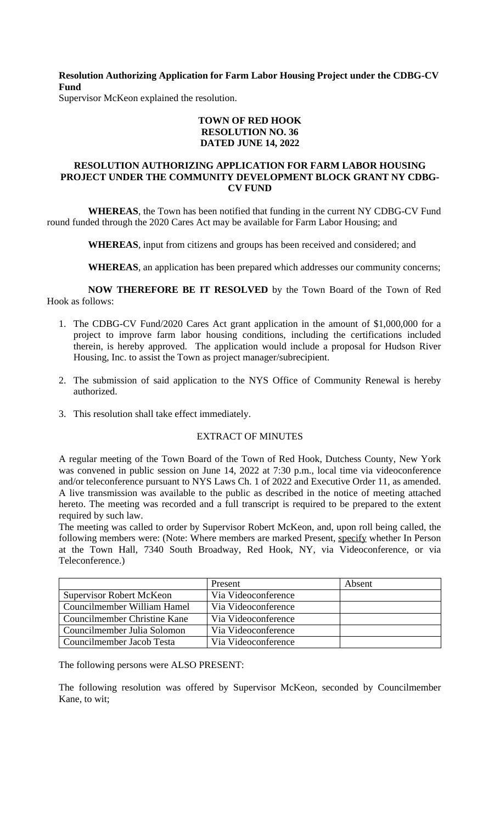**Resolution Authorizing Application for Farm Labor Housing Project under the CDBG-CV Fund**

Supervisor McKeon explained the resolution.

# **TOWN OF RED HOOK RESOLUTION NO. 36 DATED JUNE 14, 2022**

#### **RESOLUTION AUTHORIZING APPLICATION FOR FARM LABOR HOUSING PROJECT UNDER THE COMMUNITY DEVELOPMENT BLOCK GRANT NY CDBG-CV FUND**

**WHEREAS**, the Town has been notified that funding in the current NY CDBG-CV Fund round funded through the 2020 Cares Act may be available for Farm Labor Housing; and

**WHEREAS**, input from citizens and groups has been received and considered; and

**WHEREAS**, an application has been prepared which addresses our community concerns;

**NOW THEREFORE BE IT RESOLVED** by the Town Board of the Town of Red Hook as follows:

- 1. The CDBG-CV Fund/2020 Cares Act grant application in the amount of \$1,000,000 for a project to improve farm labor housing conditions, including the certifications included therein, is hereby approved. The application would include a proposal for Hudson River Housing, Inc. to assist the Town as project manager/subrecipient.
- 2. The submission of said application to the NYS Office of Community Renewal is hereby authorized.
- 3. This resolution shall take effect immediately.

# EXTRACT OF MINUTES

A regular meeting of the Town Board of the Town of Red Hook, Dutchess County, New York was convened in public session on June 14, 2022 at 7:30 p.m., local time via videoconference and/or teleconference pursuant to NYS Laws Ch. 1 of 2022 and Executive Order 11, as amended. A live transmission was available to the public as described in the notice of meeting attached hereto. The meeting was recorded and a full transcript is required to be prepared to the extent required by such law.

The meeting was called to order by Supervisor Robert McKeon, and, upon roll being called, the following members were: (Note: Where members are marked Present, specify whether In Person at the Town Hall, 7340 South Broadway, Red Hook, NY, via Videoconference, or via Teleconference.)

|                                 | Present             | Absent |
|---------------------------------|---------------------|--------|
| <b>Supervisor Robert McKeon</b> | Via Videoconference |        |
| Councilmember William Hamel     | Via Videoconference |        |
| Councilmember Christine Kane    | Via Videoconference |        |
| Councilmember Julia Solomon     | Via Videoconference |        |
| Councilmember Jacob Testa       | Via Videoconference |        |

The following persons were ALSO PRESENT:

The following resolution was offered by Supervisor McKeon, seconded by Councilmember Kane, to wit;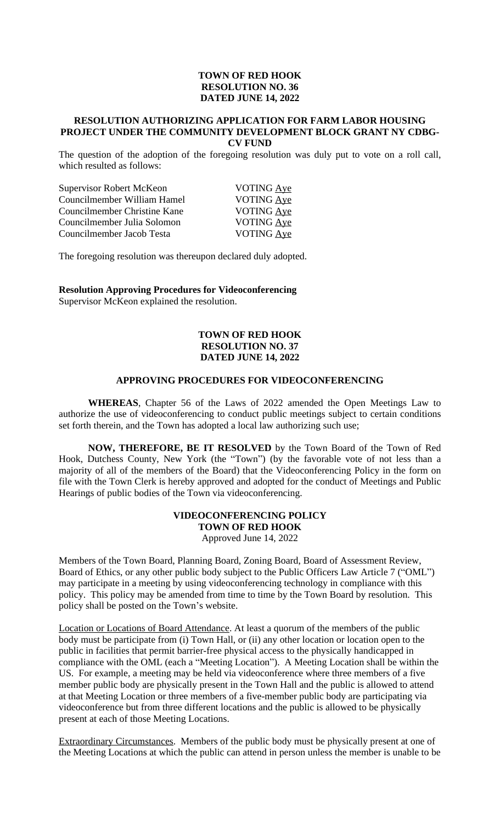#### **TOWN OF RED HOOK RESOLUTION NO. 36 DATED JUNE 14, 2022**

#### **RESOLUTION AUTHORIZING APPLICATION FOR FARM LABOR HOUSING PROJECT UNDER THE COMMUNITY DEVELOPMENT BLOCK GRANT NY CDBG-CV FUND**

The question of the adoption of the foregoing resolution was duly put to vote on a roll call, which resulted as follows:

| Supervisor Robert McKeon     | <b>VOTING Ave</b> |
|------------------------------|-------------------|
| Councilmember William Hamel  | VOTING Aye        |
| Councilmember Christine Kane | <b>VOTING Ave</b> |
| Councilmember Julia Solomon  | <b>VOTING Ave</b> |
| Councilmember Jacob Testa    | VOTING Aye        |

The foregoing resolution was thereupon declared duly adopted.

**Resolution Approving Procedures for Videoconferencing** Supervisor McKeon explained the resolution.

# **TOWN OF RED HOOK RESOLUTION NO. 37 DATED JUNE 14, 2022**

#### **APPROVING PROCEDURES FOR VIDEOCONFERENCING**

**WHEREAS**, Chapter 56 of the Laws of 2022 amended the Open Meetings Law to authorize the use of videoconferencing to conduct public meetings subject to certain conditions set forth therein, and the Town has adopted a local law authorizing such use;

**NOW, THEREFORE, BE IT RESOLVED** by the Town Board of the Town of Red Hook, Dutchess County, New York (the "Town") (by the favorable vote of not less than a majority of all of the members of the Board) that the Videoconferencing Policy in the form on file with the Town Clerk is hereby approved and adopted for the conduct of Meetings and Public Hearings of public bodies of the Town via videoconferencing.

### **VIDEOCONFERENCING POLICY TOWN OF RED HOOK** Approved June 14, 2022

Members of the Town Board, Planning Board, Zoning Board, Board of Assessment Review, Board of Ethics, or any other public body subject to the Public Officers Law Article 7 ("OML") may participate in a meeting by using videoconferencing technology in compliance with this policy. This policy may be amended from time to time by the Town Board by resolution. This policy shall be posted on the Town's website.

Location or Locations of Board Attendance. At least a quorum of the members of the public body must be participate from (i) Town Hall, or (ii) any other location or location open to the public in facilities that permit barrier-free physical access to the physically handicapped in compliance with the OML (each a "Meeting Location"). A Meeting Location shall be within the US. For example, a meeting may be held via videoconference where three members of a five member public body are physically present in the Town Hall and the public is allowed to attend at that Meeting Location or three members of a five-member public body are participating via videoconference but from three different locations and the public is allowed to be physically present at each of those Meeting Locations.

Extraordinary Circumstances. Members of the public body must be physically present at one of the Meeting Locations at which the public can attend in person unless the member is unable to be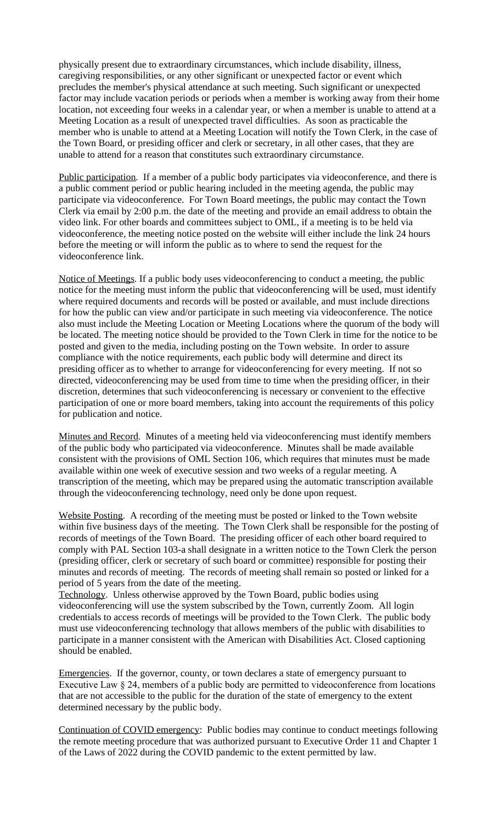physically present due to extraordinary circumstances, which include disability, illness, caregiving responsibilities, or any other significant or unexpected factor or event which precludes the member's physical attendance at such meeting. Such significant or unexpected factor may include vacation periods or periods when a member is working away from their home location, not exceeding four weeks in a calendar year, or when a member is unable to attend at a Meeting Location as a result of unexpected travel difficulties. As soon as practicable the member who is unable to attend at a Meeting Location will notify the Town Clerk, in the case of the Town Board, or presiding officer and clerk or secretary, in all other cases, that they are unable to attend for a reason that constitutes such extraordinary circumstance.

Public participation. If a member of a public body participates via videoconference, and there is a public comment period or public hearing included in the meeting agenda, the public may participate via videoconference. For Town Board meetings, the public may contact the Town Clerk via email by 2:00 p.m. the date of the meeting and provide an email address to obtain the video link. For other boards and committees subject to OML, if a meeting is to be held via videoconference, the meeting notice posted on the website will either include the link 24 hours before the meeting or will inform the public as to where to send the request for the videoconference link.

Notice of Meetings. If a public body uses videoconferencing to conduct a meeting, the public notice for the meeting must inform the public that videoconferencing will be used, must identify where required documents and records will be posted or available, and must include directions for how the public can view and/or participate in such meeting via videoconference. The notice also must include the Meeting Location or Meeting Locations where the quorum of the body will be located. The meeting notice should be provided to the Town Clerk in time for the notice to be posted and given to the media, including posting on the Town website. In order to assure compliance with the notice requirements, each public body will determine and direct its presiding officer as to whether to arrange for videoconferencing for every meeting. If not so directed, videoconferencing may be used from time to time when the presiding officer, in their discretion, determines that such videoconferencing is necessary or convenient to the effective participation of one or more board members, taking into account the requirements of this policy for publication and notice.

Minutes and Record. Minutes of a meeting held via videoconferencing must identify members of the public body who participated via videoconference. Minutes shall be made available consistent with the provisions of OML Section 106, which requires that minutes must be made available within one week of executive session and two weeks of a regular meeting. A transcription of the meeting, which may be prepared using the automatic transcription available through the videoconferencing technology, need only be done upon request.

Website Posting. A recording of the meeting must be posted or linked to the Town website within five business days of the meeting. The Town Clerk shall be responsible for the posting of records of meetings of the Town Board. The presiding officer of each other board required to comply with PAL Section 103-a shall designate in a written notice to the Town Clerk the person (presiding officer, clerk or secretary of such board or committee) responsible for posting their minutes and records of meeting. The records of meeting shall remain so posted or linked for a period of 5 years from the date of the meeting.

Technology. Unless otherwise approved by the Town Board, public bodies using videoconferencing will use the system subscribed by the Town, currently Zoom. All login credentials to access records of meetings will be provided to the Town Clerk. The public body must use videoconferencing technology that allows members of the public with disabilities to participate in a manner consistent with the American with Disabilities Act. Closed captioning should be enabled.

Emergencies. If the governor, county, or town declares a state of emergency pursuant to Executive Law § 24, members of a public body are permitted to videoconference from locations that are not accessible to the public for the duration of the state of emergency to the extent determined necessary by the public body.

Continuation of COVID emergency: Public bodies may continue to conduct meetings following the remote meeting procedure that was authorized pursuant to Executive Order 11 and Chapter 1 of the Laws of 2022 during the COVID pandemic to the extent permitted by law.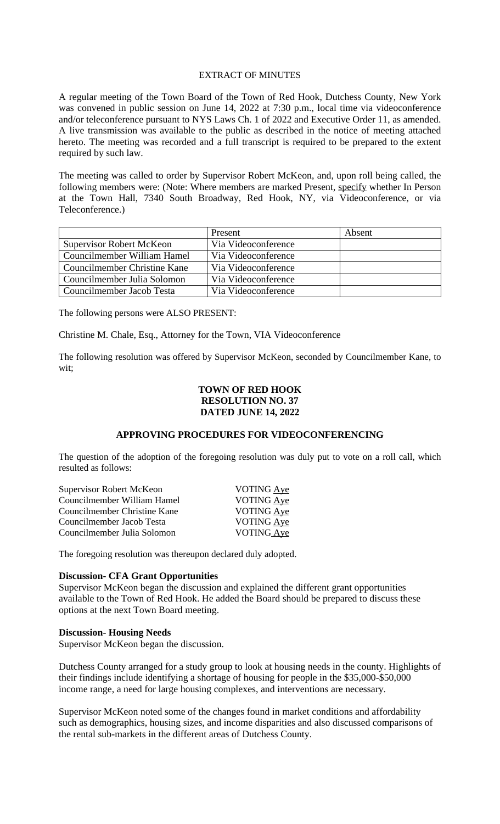#### EXTRACT OF MINUTES

A regular meeting of the Town Board of the Town of Red Hook, Dutchess County, New York was convened in public session on June 14, 2022 at 7:30 p.m., local time via videoconference and/or teleconference pursuant to NYS Laws Ch. 1 of 2022 and Executive Order 11, as amended. A live transmission was available to the public as described in the notice of meeting attached hereto. The meeting was recorded and a full transcript is required to be prepared to the extent required by such law.

The meeting was called to order by Supervisor Robert McKeon, and, upon roll being called, the following members were: (Note: Where members are marked Present, specify whether In Person at the Town Hall, 7340 South Broadway, Red Hook, NY, via Videoconference, or via Teleconference.)

|                                 | Present             | Absent |
|---------------------------------|---------------------|--------|
| <b>Supervisor Robert McKeon</b> | Via Videoconference |        |
| Councilmember William Hamel     | Via Videoconference |        |
| Councilmember Christine Kane    | Via Videoconference |        |
| Councilmember Julia Solomon     | Via Videoconference |        |
| Councilmember Jacob Testa       | Via Videoconference |        |

The following persons were ALSO PRESENT:

Christine M. Chale, Esq., Attorney for the Town, VIA Videoconference

The following resolution was offered by Supervisor McKeon, seconded by Councilmember Kane, to wit;

# **TOWN OF RED HOOK RESOLUTION NO. 37 DATED JUNE 14, 2022**

#### **APPROVING PROCEDURES FOR VIDEOCONFERENCING**

The question of the adoption of the foregoing resolution was duly put to vote on a roll call, which resulted as follows:

| Supervisor Robert McKeon     | VOTING Aye        |
|------------------------------|-------------------|
| Councilmember William Hamel  | <b>VOTING Aye</b> |
| Councilmember Christine Kane | VOTING Aye        |
| Councilmember Jacob Testa    | <b>VOTING Ave</b> |
| Councilmember Julia Solomon  | VOTING Ave        |
|                              |                   |

The foregoing resolution was thereupon declared duly adopted.

### **Discussion- CFA Grant Opportunities**

Supervisor McKeon began the discussion and explained the different grant opportunities available to the Town of Red Hook. He added the Board should be prepared to discuss these options at the next Town Board meeting.

#### **Discussion- Housing Needs**

Supervisor McKeon began the discussion.

Dutchess County arranged for a study group to look at housing needs in the county. Highlights of their findings include identifying a shortage of housing for people in the \$35,000-\$50,000 income range, a need for large housing complexes, and interventions are necessary.

Supervisor McKeon noted some of the changes found in market conditions and affordability such as demographics, housing sizes, and income disparities and also discussed comparisons of the rental sub-markets in the different areas of Dutchess County.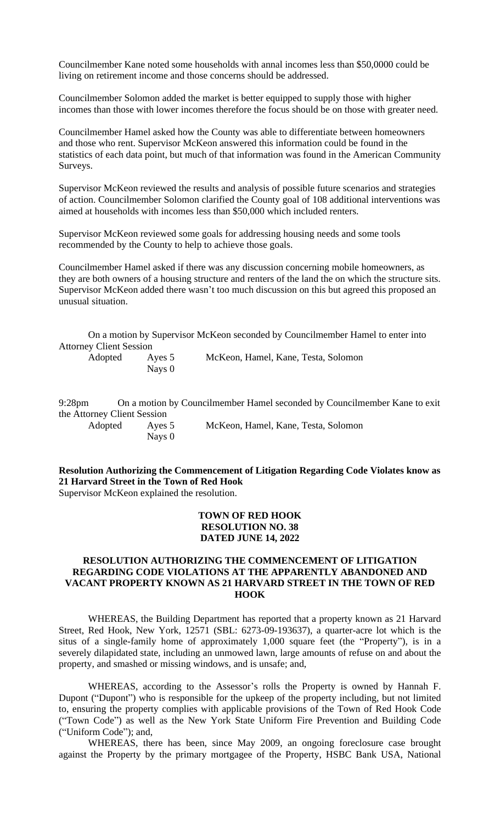Councilmember Kane noted some households with annal incomes less than \$50,0000 could be living on retirement income and those concerns should be addressed.

Councilmember Solomon added the market is better equipped to supply those with higher incomes than those with lower incomes therefore the focus should be on those with greater need.

Councilmember Hamel asked how the County was able to differentiate between homeowners and those who rent. Supervisor McKeon answered this information could be found in the statistics of each data point, but much of that information was found in the American Community Surveys.

Supervisor McKeon reviewed the results and analysis of possible future scenarios and strategies of action. Councilmember Solomon clarified the County goal of 108 additional interventions was aimed at households with incomes less than \$50,000 which included renters.

Supervisor McKeon reviewed some goals for addressing housing needs and some tools recommended by the County to help to achieve those goals.

Councilmember Hamel asked if there was any discussion concerning mobile homeowners, as they are both owners of a housing structure and renters of the land the on which the structure sits. Supervisor McKeon added there wasn't too much discussion on this but agreed this proposed an unusual situation.

On a motion by Supervisor McKeon seconded by Councilmember Hamel to enter into Attorney Client Session

Nays 0

Adopted Ayes 5 McKeon, Hamel, Kane, Testa, Solomon

9:28pm On a motion by Councilmember Hamel seconded by Councilmember Kane to exit the Attorney Client Session Adopted Ayes 5 McKeon, Hamel, Kane, Testa, Solomon Nays 0

**Resolution Authorizing the Commencement of Litigation Regarding Code Violates know as 21 Harvard Street in the Town of Red Hook** 

Supervisor McKeon explained the resolution.

# **TOWN OF RED HOOK RESOLUTION NO. 38 DATED JUNE 14, 2022**

#### **RESOLUTION AUTHORIZING THE COMMENCEMENT OF LITIGATION REGARDING CODE VIOLATIONS AT THE APPARENTLY ABANDONED AND VACANT PROPERTY KNOWN AS 21 HARVARD STREET IN THE TOWN OF RED HOOK**

WHEREAS, the Building Department has reported that a property known as 21 Harvard Street, Red Hook, New York, 12571 (SBL: 6273-09-193637), a quarter-acre lot which is the situs of a single-family home of approximately 1,000 square feet (the "Property"), is in a severely dilapidated state, including an unmowed lawn, large amounts of refuse on and about the property, and smashed or missing windows, and is unsafe; and,

WHEREAS, according to the Assessor's rolls the Property is owned by Hannah F. Dupont ("Dupont") who is responsible for the upkeep of the property including, but not limited to, ensuring the property complies with applicable provisions of the Town of Red Hook Code ("Town Code") as well as the New York State Uniform Fire Prevention and Building Code ("Uniform Code"); and,

WHEREAS, there has been, since May 2009, an ongoing foreclosure case brought against the Property by the primary mortgagee of the Property, HSBC Bank USA, National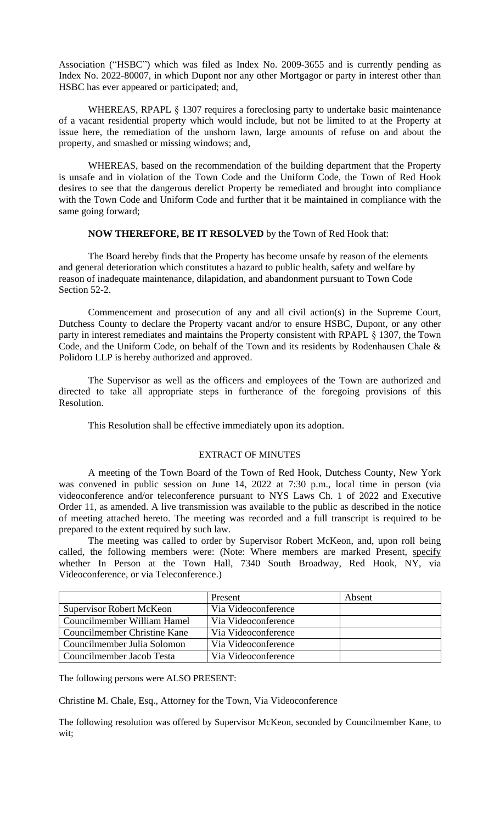Association ("HSBC") which was filed as Index No. 2009-3655 and is currently pending as Index No. 2022-80007, in which Dupont nor any other Mortgagor or party in interest other than HSBC has ever appeared or participated; and,

WHEREAS, RPAPL § 1307 requires a foreclosing party to undertake basic maintenance of a vacant residential property which would include, but not be limited to at the Property at issue here, the remediation of the unshorn lawn, large amounts of refuse on and about the property, and smashed or missing windows; and,

WHEREAS, based on the recommendation of the building department that the Property is unsafe and in violation of the Town Code and the Uniform Code, the Town of Red Hook desires to see that the dangerous derelict Property be remediated and brought into compliance with the Town Code and Uniform Code and further that it be maintained in compliance with the same going forward;

#### **NOW THEREFORE, BE IT RESOLVED** by the Town of Red Hook that:

The Board hereby finds that the Property has become unsafe by reason of the elements and general deterioration which constitutes a hazard to public health, safety and welfare by reason of inadequate maintenance, dilapidation, and abandonment pursuant to Town Code Section 52-2.

Commencement and prosecution of any and all civil action(s) in the Supreme Court, Dutchess County to declare the Property vacant and/or to ensure HSBC, Dupont, or any other party in interest remediates and maintains the Property consistent with RPAPL § 1307, the Town Code, and the Uniform Code, on behalf of the Town and its residents by Rodenhausen Chale & Polidoro LLP is hereby authorized and approved.

The Supervisor as well as the officers and employees of the Town are authorized and directed to take all appropriate steps in furtherance of the foregoing provisions of this Resolution.

This Resolution shall be effective immediately upon its adoption.

#### EXTRACT OF MINUTES

A meeting of the Town Board of the Town of Red Hook, Dutchess County, New York was convened in public session on June 14, 2022 at 7:30 p.m., local time in person (via videoconference and/or teleconference pursuant to NYS Laws Ch. 1 of 2022 and Executive Order 11, as amended. A live transmission was available to the public as described in the notice of meeting attached hereto. The meeting was recorded and a full transcript is required to be prepared to the extent required by such law.

The meeting was called to order by Supervisor Robert McKeon, and, upon roll being called, the following members were: (Note: Where members are marked Present, specify whether In Person at the Town Hall, 7340 South Broadway, Red Hook, NY, via Videoconference, or via Teleconference.)

|                                 | Present             | Absent |
|---------------------------------|---------------------|--------|
| <b>Supervisor Robert McKeon</b> | Via Videoconference |        |
| Councilmember William Hamel     | Via Videoconference |        |
| Councilmember Christine Kane    | Via Videoconference |        |
| Councilmember Julia Solomon     | Via Videoconference |        |
| Councilmember Jacob Testa       | Via Videoconference |        |

The following persons were ALSO PRESENT:

Christine M. Chale, Esq., Attorney for the Town, Via Videoconference

The following resolution was offered by Supervisor McKeon, seconded by Councilmember Kane, to wit: